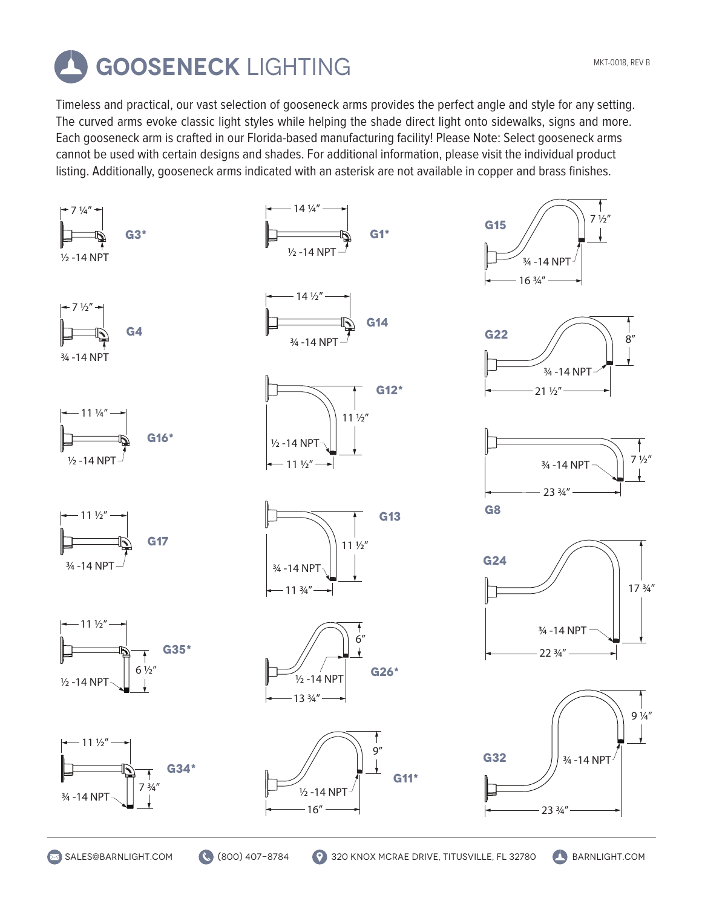

Timeless and practical, our vast selection of gooseneck arms provides the perfect angle and style for any setting. The curved arms evoke classic light styles while helping the shade direct light onto sidewalks, signs and more. Each gooseneck arm is crafted in our Florida-based manufacturing facility! Please Note: Select gooseneck arms cannot be used with certain designs and shades. For additional information, please visit the individual product listing. Additionally, gooseneck arms indicated with an asterisk are not available in copper and brass finishes.

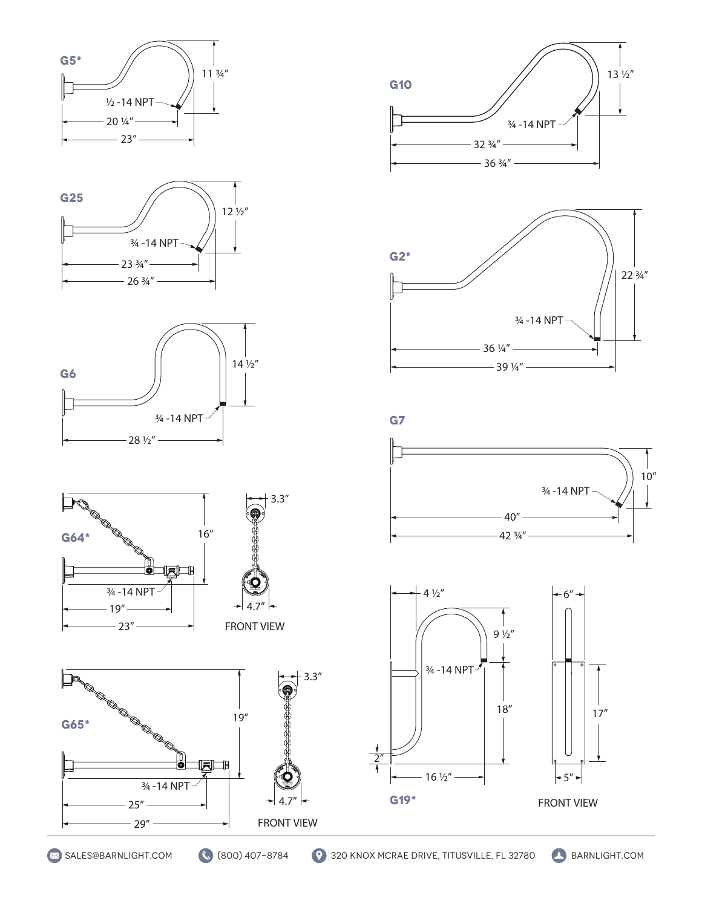















 $-39\frac{1}{4}$ " –





**g65\***

P,

 $-25"$  $-29"$ 

e de la construction de la construction de la construction de la construction de la construction de la construction de la construction de la construction de la construction de la construction de la construction de la const

¾ -14 NPT

FRONT VIEW

3.3"

19"

u d

**g19\***